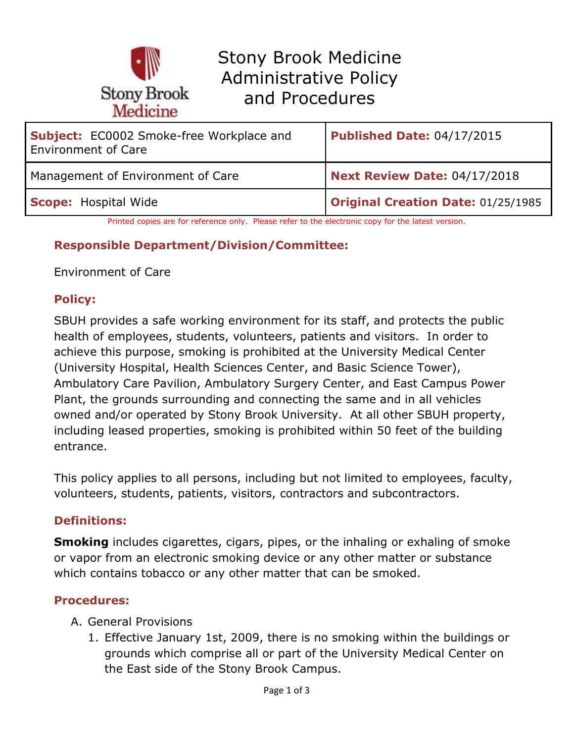

| <b>Subject:</b> EC0002 Smoke-free Workplace and<br><b>Environment of Care</b> | Published Date: 04/17/2015         |
|-------------------------------------------------------------------------------|------------------------------------|
| Management of Environment of Care                                             | Next Review Date: 04/17/2018       |
| <b>Scope: Hospital Wide</b>                                                   | Original Creation Date: 01/25/1985 |

Printed copies are for reference only. Please refer to the electronic copy for the latest version.

#### **Responsible Department/Division/Committee:**

Environment of Care

### **Policy:**

SBUH provides a safe working environment for its staff, and protects the public health of employees, students, volunteers, patients and visitors. In order to achieve this purpose, smoking is prohibited at the University Medical Center (University Hospital, Health Sciences Center, and Basic Science Tower), Ambulatory Care Pavilion, Ambulatory Surgery Center, and East Campus Power Plant, the grounds surrounding and connecting the same and in all vehicles owned and/or operated by Stony Brook University. At all other SBUH property, including leased properties, smoking is prohibited within 50 feet of the building entrance.

This policy applies to all persons, including but not limited to employees, faculty, volunteers, students, patients, visitors, contractors and subcontractors.

### **Definitions:**

**Smoking** includes cigarettes, cigars, pipes, or the inhaling or exhaling of smoke or vapor from an electronic smoking device or any other matter or substance which contains tobacco or any other matter that can be smoked.

### **Procedures:**

- A. General Provisions
	- 1. Effective January 1st, 2009, there is no smoking within the buildings or grounds which comprise all or part of the University Medical Center on the East side of the Stony Brook Campus.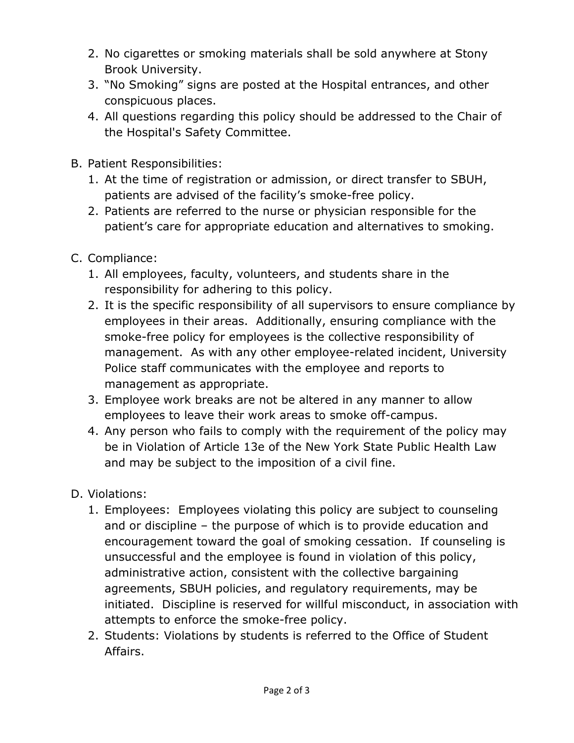- 2. No cigarettes or smoking materials shall be sold anywhere at Stony Brook University.
- 3. "No Smoking" signs are posted at the Hospital entrances, and other conspicuous places.
- 4. All questions regarding this policy should be addressed to the Chair of the Hospital's Safety Committee.
- B. Patient Responsibilities:
	- 1. At the time of registration or admission, or direct transfer to SBUH, patients are advised of the facility's smoke-free policy.
	- 2. Patients are referred to the nurse or physician responsible for the patient's care for appropriate education and alternatives to smoking.
- C. Compliance:
	- 1. All employees, faculty, volunteers, and students share in the responsibility for adhering to this policy.
	- 2. It is the specific responsibility of all supervisors to ensure compliance by employees in their areas. Additionally, ensuring compliance with the smoke-free policy for employees is the collective responsibility of management. As with any other employee-related incident, University Police staff communicates with the employee and reports to management as appropriate.
	- 3. Employee work breaks are not be altered in any manner to allow employees to leave their work areas to smoke off-campus.
	- 4. Any person who fails to comply with the requirement of the policy may be in Violation of Article 13e of the New York State Public Health Law and may be subject to the imposition of a civil fine.

# D. Violations:

- 1. Employees: Employees violating this policy are subject to counseling and or discipline – the purpose of which is to provide education and encouragement toward the goal of smoking cessation. If counseling is unsuccessful and the employee is found in violation of this policy, administrative action, consistent with the collective bargaining agreements, SBUH policies, and regulatory requirements, may be initiated. Discipline is reserved for willful misconduct, in association with attempts to enforce the smoke-free policy.
- 2. Students: Violations by students is referred to the Office of Student Affairs.